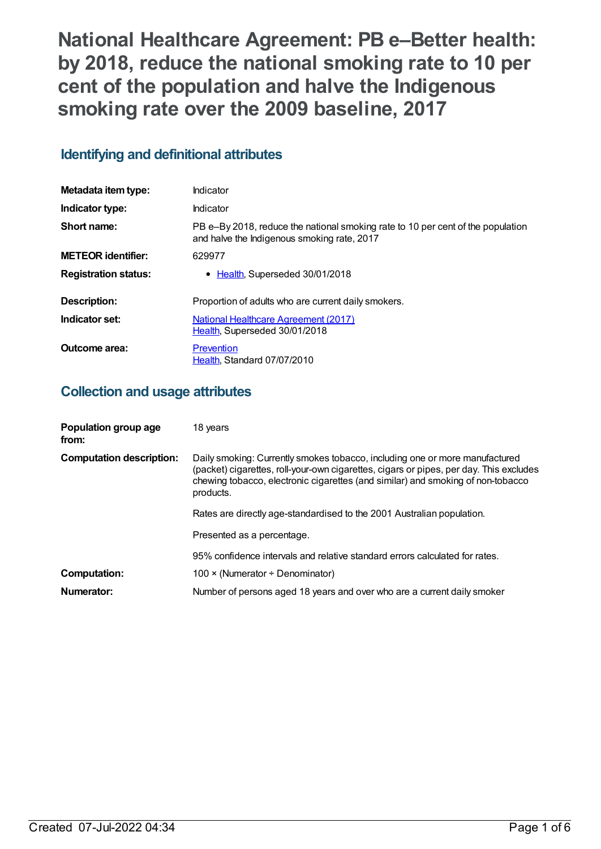**National Healthcare Agreement: PB e–Better health: by 2018, reduce the national smoking rate to 10 per cent of the population and halve the Indigenous smoking rate over the 2009 baseline, 2017**

# **Identifying and definitional attributes**

| Metadata item type:         | Indicator                                                                                                                      |
|-----------------------------|--------------------------------------------------------------------------------------------------------------------------------|
| Indicator type:             | Indicator                                                                                                                      |
| Short name:                 | PB e-By 2018, reduce the national smoking rate to 10 per cent of the population<br>and halve the Indigenous smoking rate, 2017 |
| <b>METEOR identifier:</b>   | 629977                                                                                                                         |
| <b>Registration status:</b> | • Health, Superseded 30/01/2018                                                                                                |
| Description:                | Proportion of adults who are current daily smokers.                                                                            |
| Indicator set:              | National Healthcare Agreement (2017)<br>Health, Superseded 30/01/2018                                                          |
| Outcome area:               | Prevention<br>Health, Standard 07/07/2010                                                                                      |

# **Collection and usage attributes**

| Population group age<br>from:   | 18 years                                                                                                                                                                                                                                                              |
|---------------------------------|-----------------------------------------------------------------------------------------------------------------------------------------------------------------------------------------------------------------------------------------------------------------------|
| <b>Computation description:</b> | Daily smoking: Currently smokes tobacco, including one or more manufactured<br>(packet) cigarettes, roll-your-own cigarettes, cigars or pipes, per day. This excludes<br>chewing tobacco, electronic cigarettes (and similar) and smoking of non-tobacco<br>products. |
|                                 | Rates are directly age-standardised to the 2001 Australian population.                                                                                                                                                                                                |
|                                 | Presented as a percentage.                                                                                                                                                                                                                                            |
|                                 | 95% confidence intervals and relative standard errors calculated for rates.                                                                                                                                                                                           |
| <b>Computation:</b>             | 100 $\times$ (Numerator ÷ Denominator)                                                                                                                                                                                                                                |
| Numerator:                      | Number of persons aged 18 years and over who are a current daily smoker                                                                                                                                                                                               |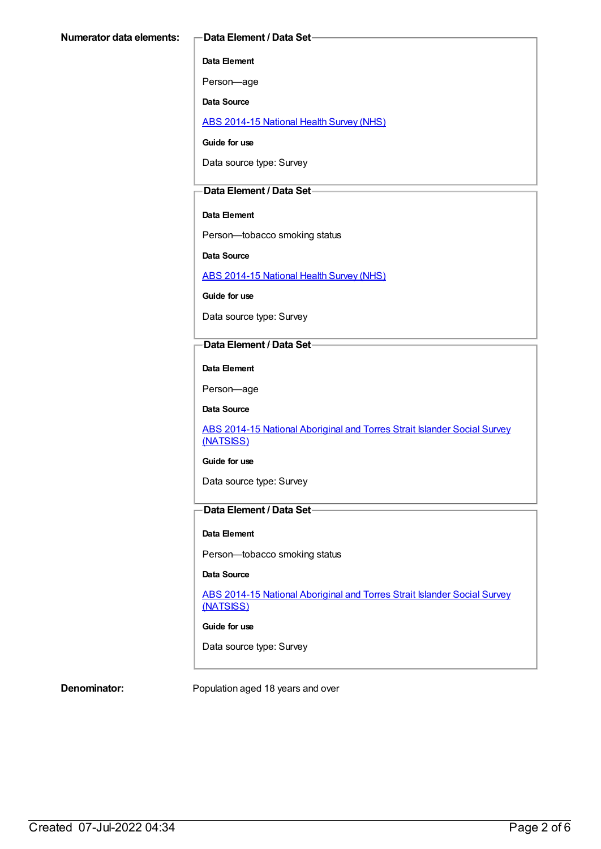## **Data Element**

Person—age

**Data Source**

ABS [2014-15](https://meteor.aihw.gov.au/content/644695) National Health Survey (NHS)

**Guide for use**

Data source type: Survey

## **Data Element / Data Set**

## **Data Element**

Person—tobacco smoking status

**Data Source**

ABS [2014-15](https://meteor.aihw.gov.au/content/644695) National Health Survey (NHS)

**Guide for use**

Data source type: Survey

## **Data Element / Data Set**

**Data Element**

Person—age

**Data Source**

ABS 2014-15 National [Aboriginal](https://meteor.aihw.gov.au/content/644707) and Torres Strait Islander Social Survey (NATSISS)

### **Guide for use**

Data source type: Survey

# **Data Element / Data Set**

### **Data Element**

Person—tobacco smoking status

### **Data Source**

ABS 2014-15 National [Aboriginal](https://meteor.aihw.gov.au/content/644707) and Torres Strait Islander Social Survey (NATSISS)

**Guide for use**

Data source type: Survey

**Denominator:** Population aged 18 years and over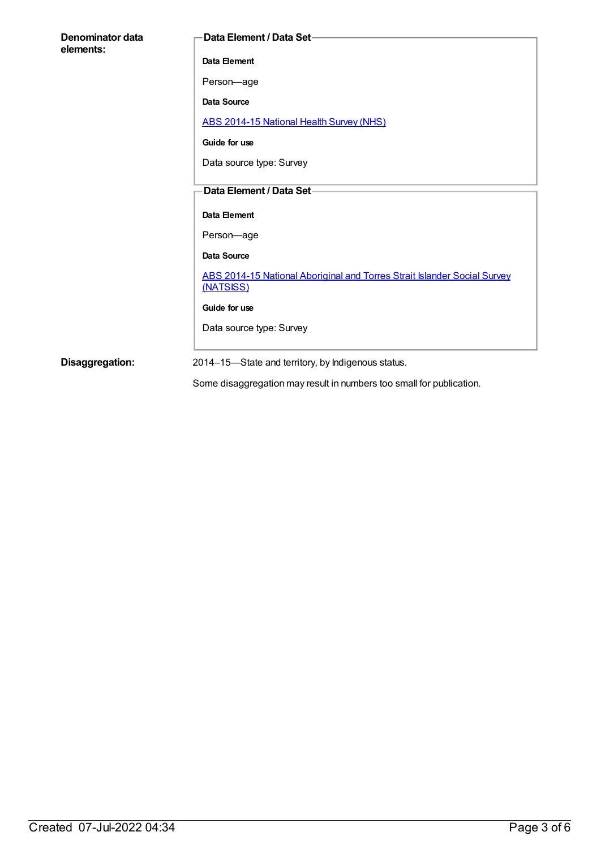| Denominator data<br>elements: | <b>Data Element / Data Set-</b>                                                       |
|-------------------------------|---------------------------------------------------------------------------------------|
|                               | Data Element                                                                          |
|                               | Person-age                                                                            |
|                               | Data Source                                                                           |
|                               | ABS 2014-15 National Health Survey (NHS)                                              |
|                               | Guide for use                                                                         |
|                               | Data source type: Survey                                                              |
|                               | Data Element / Data Set-                                                              |
|                               |                                                                                       |
|                               | Data Element                                                                          |
|                               | Person-age                                                                            |
|                               | Data Source                                                                           |
|                               | ABS 2014-15 National Aboriginal and Torres Strait Islander Social Survey<br>(NATSISS) |
|                               | Guide for use                                                                         |
|                               | Data source type: Survey                                                              |
| Disaggregation:               | 2014-15-State and territory, by Indigenous status.                                    |
|                               | Some disaggregation may result in numbers too small for publication.                  |

Created 07-Jul-2022 04:34 Page 3 of 6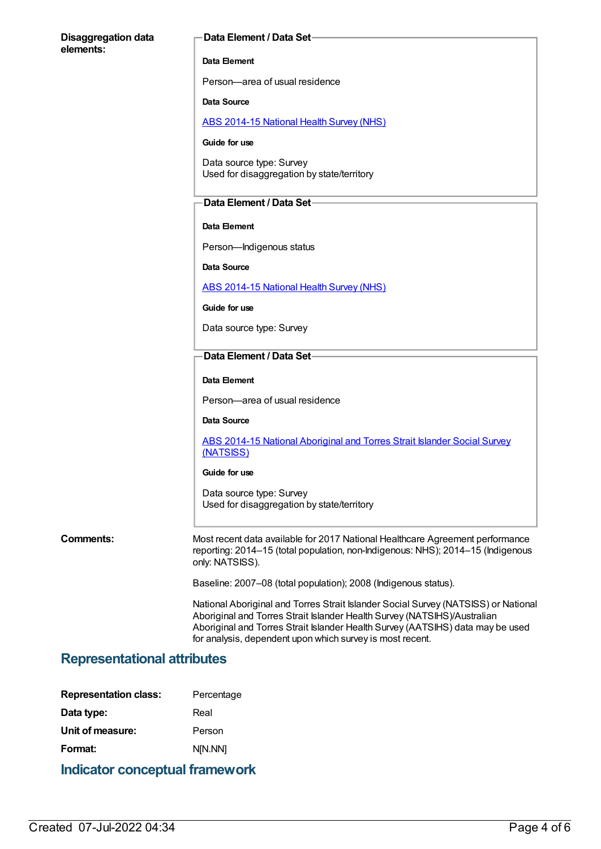| <b>Disaggregation data</b><br>elements: | Data Element / Data Set-                                                                                                                                                                                                                                                                                      |  |
|-----------------------------------------|---------------------------------------------------------------------------------------------------------------------------------------------------------------------------------------------------------------------------------------------------------------------------------------------------------------|--|
|                                         | Data Element                                                                                                                                                                                                                                                                                                  |  |
|                                         | Person-area of usual residence                                                                                                                                                                                                                                                                                |  |
|                                         | Data Source                                                                                                                                                                                                                                                                                                   |  |
|                                         | <b>ABS 2014-15 National Health Survey (NHS)</b>                                                                                                                                                                                                                                                               |  |
|                                         | Guide for use                                                                                                                                                                                                                                                                                                 |  |
|                                         | Data source type: Survey<br>Used for disaggregation by state/territory                                                                                                                                                                                                                                        |  |
|                                         | Data Element / Data Set-                                                                                                                                                                                                                                                                                      |  |
|                                         | Data Element                                                                                                                                                                                                                                                                                                  |  |
|                                         | Person-Indigenous status                                                                                                                                                                                                                                                                                      |  |
|                                         | <b>Data Source</b>                                                                                                                                                                                                                                                                                            |  |
|                                         | <b>ABS 2014-15 National Health Survey (NHS)</b>                                                                                                                                                                                                                                                               |  |
|                                         | Guide for use                                                                                                                                                                                                                                                                                                 |  |
|                                         | Data source type: Survey                                                                                                                                                                                                                                                                                      |  |
|                                         | Data Element / Data Set-                                                                                                                                                                                                                                                                                      |  |
|                                         | Data Element                                                                                                                                                                                                                                                                                                  |  |
|                                         | Person—area of usual residence                                                                                                                                                                                                                                                                                |  |
|                                         | Data Source                                                                                                                                                                                                                                                                                                   |  |
|                                         | ABS 2014-15 National Aboriginal and Torres Strait Islander Social Survey<br>(NATSISS)                                                                                                                                                                                                                         |  |
|                                         | Guide for use                                                                                                                                                                                                                                                                                                 |  |
|                                         | Data source type: Survey<br>Used for disaggregation by state/territory                                                                                                                                                                                                                                        |  |
| <b>Comments:</b>                        | Most recent data available for 2017 National Healthcare Agreement performance<br>reporting: 2014-15 (total population, non-Indigenous: NHS); 2014-15 (Indigenous<br>only: NATSISS).                                                                                                                           |  |
|                                         | Baseline: 2007-08 (total population); 2008 (Indigenous status).                                                                                                                                                                                                                                               |  |
|                                         | National Aboriginal and Torres Strait Islander Social Survey (NATSISS) or National<br>Aboriginal and Torres Strait Islander Health Survey (NATSIHS)/Australian<br>Aboriginal and Torres Strait Islander Health Survey (AATSIHS) data may be used<br>for analysis, dependent upon which survey is most recent. |  |
| <b>Representational attributes</b>      |                                                                                                                                                                                                                                                                                                               |  |
|                                         |                                                                                                                                                                                                                                                                                                               |  |

| <b>Indicator conceptual framework</b> |            |  |
|---------------------------------------|------------|--|
| Format:                               | N[N.NN]    |  |
| Unit of measure:                      | Person     |  |
| Data type:                            | Real       |  |
| <b>Representation class:</b>          | Percentage |  |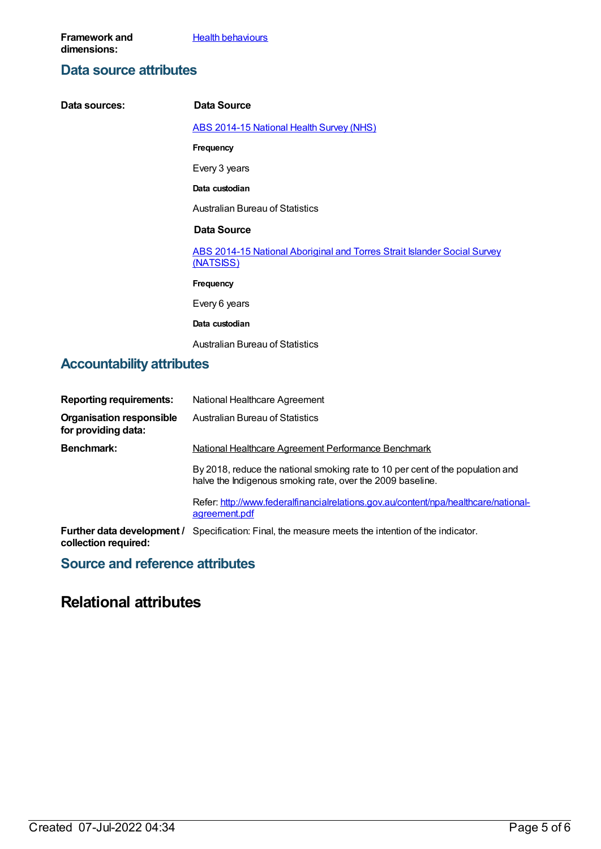**Health [behaviours](https://meteor.aihw.gov.au/content/392579)** 

# **Data source attributes**

| Data sources:                    | Data Source                                                                           |
|----------------------------------|---------------------------------------------------------------------------------------|
|                                  | <b>ABS 2014-15 National Health Survey (NHS)</b>                                       |
|                                  | Frequency                                                                             |
|                                  | Every 3 years                                                                         |
|                                  | Data custodian                                                                        |
|                                  | <b>Australian Bureau of Statistics</b>                                                |
|                                  | Data Source                                                                           |
|                                  | ABS 2014-15 National Aboriginal and Torres Strait Islander Social Survey<br>(NATSISS) |
|                                  | Frequency                                                                             |
|                                  | Every 6 years                                                                         |
|                                  | Data custodian                                                                        |
|                                  | <b>Australian Bureau of Statistics</b>                                                |
| <b>Accountability attributes</b> |                                                                                       |

# **Reporting requirements:** National Healthcare Agreement **Organisation responsible for providing data:** Australian Bureau of Statistics **Benchmark:** National Healthcare Agreement Performance Benchmark By 2018, reduce the national smoking rate to 10 per cent of the population and halve the Indigenous smoking rate, over the 2009 baseline. Refer: [http://www.federalfinancialrelations.gov.au/content/npa/healthcare/national](http://www.federalfinancialrelations.gov.au/content/npa/healthcare/national-agreement.pdf)agreement.pdf

**Further data development /** Specification: Final, the measure meets the intention of the indicator. **collection required:**

# **Source and reference attributes**

# **Relational attributes**